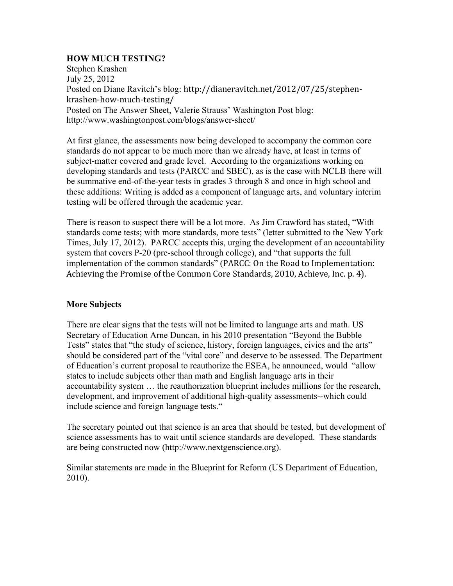### **HOW MUCH TESTING?**

Stephen Krashen July 25, 2012 Posted on Diane Ravitch's blog: http://dianeravitch.net/2012/07/25/stephenkrashen-how-much-testing/ Posted on The Answer Sheet, Valerie Strauss' Washington Post blog: http://www.washingtonpost.com/blogs/answer-sheet/

At first glance, the assessments now being developed to accompany the common core standards do not appear to be much more than we already have, at least in terms of subject-matter covered and grade level. According to the organizations working on developing standards and tests (PARCC and SBEC), as is the case with NCLB there will be summative end-of-the-year tests in grades 3 through 8 and once in high school and these additions: Writing is added as a component of language arts, and voluntary interim testing will be offered through the academic year.

There is reason to suspect there will be a lot more. As Jim Crawford has stated, "With standards come tests; with more standards, more tests" (letter submitted to the New York Times, July 17, 2012). PARCC accepts this, urging the development of an accountability system that covers P-20 (pre-school through college), and "that supports the full implementation of the common standards" (PARCC: On the Road to Implementation: Achieving the Promise of the Common Core Standards, 2010, Achieve, Inc. p. 4).

#### **More Subjects**

There are clear signs that the tests will not be limited to language arts and math. US Secretary of Education Arne Duncan, in his 2010 presentation "Beyond the Bubble Tests" states that "the study of science, history, foreign languages, civics and the arts" should be considered part of the "vital core" and deserve to be assessed. The Department of Education's current proposal to reauthorize the ESEA, he announced, would "allow states to include subjects other than math and English language arts in their accountability system … the reauthorization blueprint includes millions for the research, development, and improvement of additional high-quality assessments--which could include science and foreign language tests."

The secretary pointed out that science is an area that should be tested, but development of science assessments has to wait until science standards are developed. These standards are being constructed now (http://www.nextgenscience.org).

Similar statements are made in the Blueprint for Reform (US Department of Education, 2010).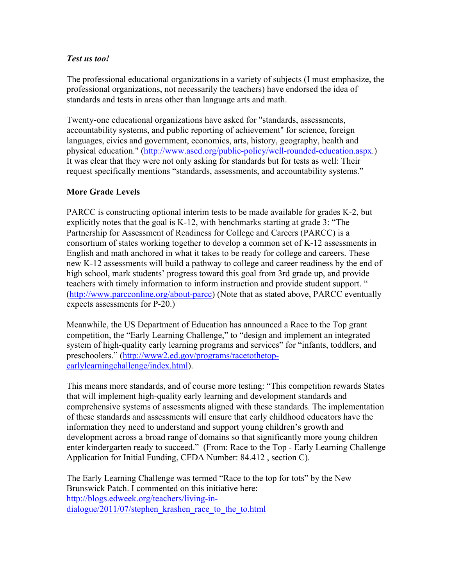## *Test us too!*

The professional educational organizations in a variety of subjects (I must emphasize, the professional organizations, not necessarily the teachers) have endorsed the idea of standards and tests in areas other than language arts and math.

Twenty-one educational organizations have asked for "standards, assessments, accountability systems, and public reporting of achievement" for science, foreign languages, civics and government, economics, arts, history, geography, health and physical education." (http://www.ascd.org/public-policy/well-rounded-education.aspx.) It was clear that they were not only asking for standards but for tests as well: Their request specifically mentions "standards, assessments, and accountability systems."

## **More Grade Levels**

PARCC is constructing optional interim tests to be made available for grades K-2, but explicitly notes that the goal is K-12, with benchmarks starting at grade 3: "The Partnership for Assessment of Readiness for College and Careers (PARCC) is a consortium of states working together to develop a common set of K-12 assessments in English and math anchored in what it takes to be ready for college and careers. These new K-12 assessments will build a pathway to college and career readiness by the end of high school, mark students' progress toward this goal from 3rd grade up, and provide teachers with timely information to inform instruction and provide student support. " (http://www.parcconline.org/about-parcc) (Note that as stated above, PARCC eventually expects assessments for P-20.)

Meanwhile, the US Department of Education has announced a Race to the Top grant competition, the "Early Learning Challenge," to "design and implement an integrated system of high-quality early learning programs and services" for "infants, toddlers, and preschoolers." (http://www2.ed.gov/programs/racetothetopearlylearningchallenge/index.html).

This means more standards, and of course more testing: "This competition rewards States that will implement high-quality early learning and development standards and comprehensive systems of assessments aligned with these standards. The implementation of these standards and assessments will ensure that early childhood educators have the information they need to understand and support young children's growth and development across a broad range of domains so that significantly more young children enter kindergarten ready to succeed." (From: Race to the Top - Early Learning Challenge Application for Initial Funding, CFDA Number: 84.412 , section C).

The Early Learning Challenge was termed "Race to the top for tots" by the New Brunswick Patch. I commented on this initiative here: http://blogs.edweek.org/teachers/living-indialogue/2011/07/stephen\_krashen\_race\_to\_the\_to.html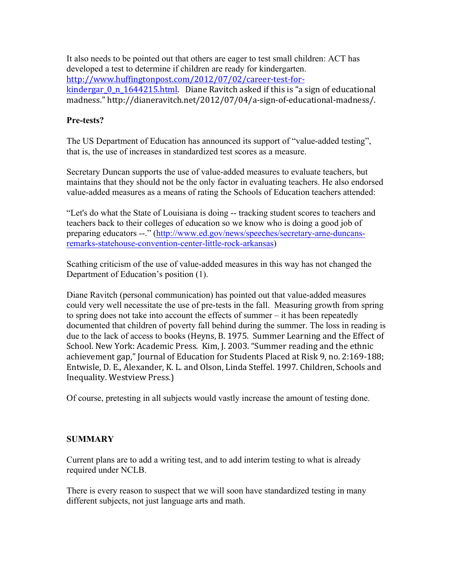It also needs to be pointed out that others are eager to test small children: ACT has developed a test to determine if children are ready for kindergarten. http://www.huffingtonpost.com/2012/07/02/career-test-forkindergar  $0_n$  1644215.html. Diane Ravitch asked if this is "a sign of educational madness." http://dianeravitch.net/2012/07/04/a-sign-of-educational-madness/.

# **Pre-tests?**

The US Department of Education has announced its support of "value-added testing", that is, the use of increases in standardized test scores as a measure.

Secretary Duncan supports the use of value-added measures to evaluate teachers, but maintains that they should not be the only factor in evaluating teachers. He also endorsed value-added measures as a means of rating the Schools of Education teachers attended:

"Let's do what the State of Louisiana is doing -- tracking student scores to teachers and teachers back to their colleges of education so we know who is doing a good job of preparing educators --." (http://www.ed.gov/news/speeches/secretary-arne-duncansremarks-statehouse-convention-center-little-rock-arkansas)

Scathing criticism of the use of value-added measures in this way has not changed the Department of Education's position (1).

Diane Ravitch (personal communication) has pointed out that value-added measures could very well necessitate the use of pre-tests in the fall. Measuring growth from spring to spring does not take into account the effects of summer – it has been repeatedly documented that children of poverty fall behind during the summer. The loss in reading is due to the lack of access to books (Heyns, B. 1975. Summer Learning and the Effect of School. New York: Academic Press. Kim, J. 2003. "Summer reading and the ethnic achievement gap," Journal of Education for Students Placed at Risk 9, no. 2:169-188; Entwisle, D. E., Alexander, K. L. and Olson, Linda Steffel, 1997, Children, Schools and Inequality. Westview Press.)

Of course, pretesting in all subjects would vastly increase the amount of testing done.

## **SUMMARY**

Current plans are to add a writing test, and to add interim testing to what is already required under NCLB.

There is every reason to suspect that we will soon have standardized testing in many different subjects, not just language arts and math.